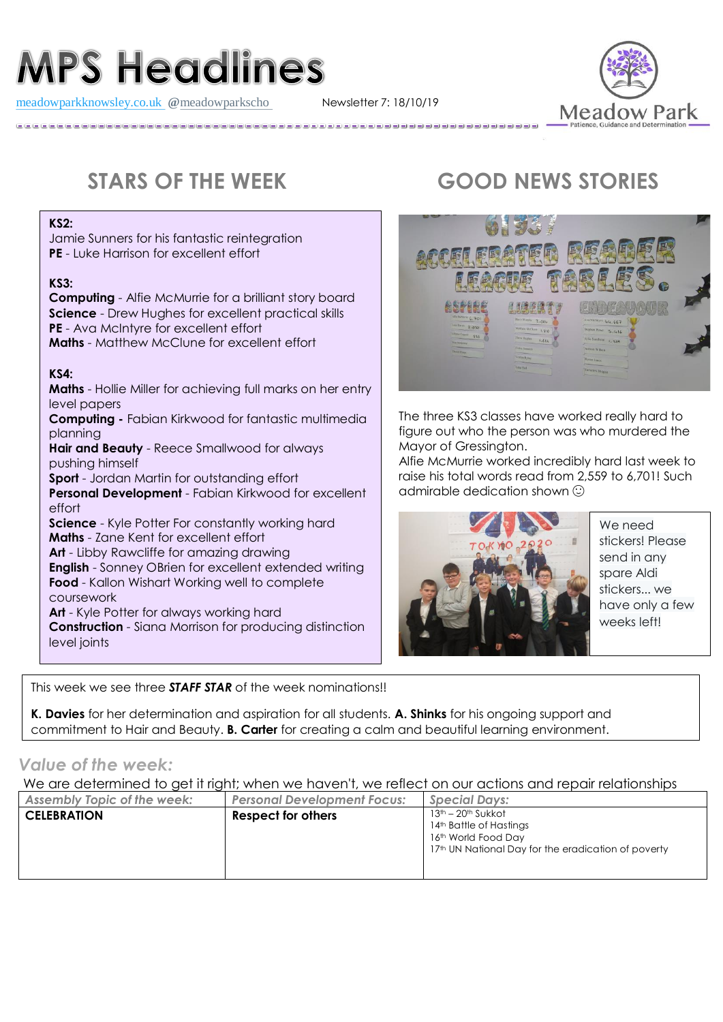# **MPS Headlines**

[meadowparkknowsley.co.uk](https://t.co/znDDto23ds) @[meadowparkscho](https://twitter.com/meadowparkscho) Newsletter 7: 18/10/19



#### **KS2:**

Jamie Sunners for his fantastic reintegration **PE** - Luke Harrison for excellent effort

#### **KS3:**

**Computing** - Alfie McMurrie for a brilliant story board **Science** - Drew Hughes for excellent practical skills **PE** - Ava McIntyre for excellent effort **Maths** - Matthew McClune for excellent effort

#### **KS4:**

**Maths** - Hollie Miller for achieving full marks on her entry level papers

**Computing -** Fabian Kirkwood for fantastic multimedia planning

**Hair and Beauty** - Reece Smallwood for always pushing himself

**Sport** - Jordan Martin for outstanding effort

**Personal Development** - Fabian Kirkwood for excellent effort

**Science** - Kyle Potter For constantly working hard **Maths** - Zane Kent for excellent effort

**Art** - Libby Rawcliffe for amazing drawing **English** - Sonney OBrien for excellent extended writing **Food** - Kallon Wishart Working well to complete coursework

**Art** - Kyle Potter for always working hard

**Construction** - Siana Morrison for producing distinction level joints

This week we see three *STAFF STAR* of the week nominations!!

**K. Davies** for her determination and aspiration for all students. **A. Shinks** for his ongoing support and commitment to Hair and Beauty. **B. Carter** for creating a calm and beautiful learning environment.

### *Value of the week:*

We are determined to get it right; when we haven't, we reflect on our actions and repair relationships

| <b>Assembly Topic of the week:</b> | <b>Personal Development Focus:</b> | <b>Special Days:</b>                                                                                                        |
|------------------------------------|------------------------------------|-----------------------------------------------------------------------------------------------------------------------------|
| <b>CELEBRATION</b>                 | <b>Respect for others</b>          | 13th - 20th Sukkot<br>14th Battle of Hastings<br>16th World Food Day<br>17th UN National Day for the eradication of poverty |

# **STARS OF THE WEEK GOOD NEWS STORIES**



The three KS3 classes have worked really hard to figure out who the person was who murdered the Mayor of Gressington.

Alfie McMurrie worked incredibly hard last week to raise his total words read from 2,559 to 6,701! Such admirable dedication shown



We need stickers! Please send in any spare Aldi stickers... we have only a few weeks left!